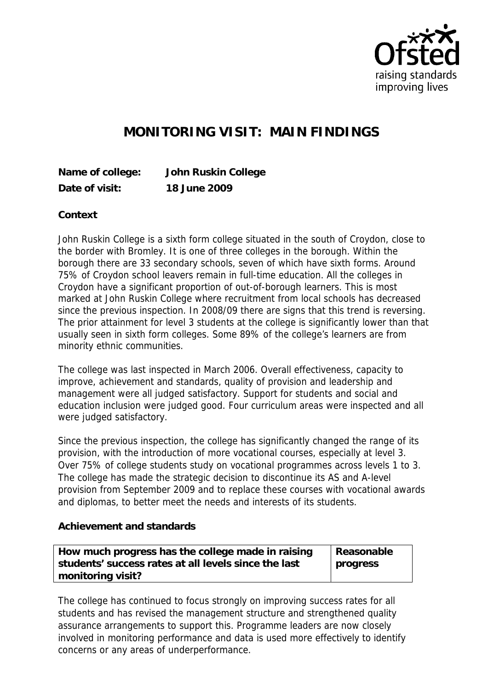

## **MONITORING VISIT: MAIN FINDINGS**

**Name of college: John Ruskin College Date of visit: 18 June 2009**

**Context**

John Ruskin College is a sixth form college situated in the south of Croydon, close to the border with Bromley. It is one of three colleges in the borough. Within the borough there are 33 secondary schools, seven of which have sixth forms. Around 75% of Croydon school leavers remain in full-time education. All the colleges in Croydon have a significant proportion of out-of-borough learners. This is most marked at John Ruskin College where recruitment from local schools has decreased since the previous inspection. In 2008/09 there are signs that this trend is reversing. The prior attainment for level 3 students at the college is significantly lower than that usually seen in sixth form colleges. Some 89% of the college's learners are from minority ethnic communities.

The college was last inspected in March 2006. Overall effectiveness, capacity to improve, achievement and standards, quality of provision and leadership and management were all judged satisfactory. Support for students and social and education inclusion were judged good. Four curriculum areas were inspected and all were judged satisfactory.

Since the previous inspection, the college has significantly changed the range of its provision, with the introduction of more vocational courses, especially at level 3. Over 75% of college students study on vocational programmes across levels 1 to 3. The college has made the strategic decision to discontinue its AS and A-level provision from September 2009 and to replace these courses with vocational awards and diplomas, to better meet the needs and interests of its students.

**Achievement and standards** 

| How much progress has the college made in raising    | Reasonable |
|------------------------------------------------------|------------|
| students' success rates at all levels since the last | progress   |
| monitoring visit?                                    |            |

The college has continued to focus strongly on improving success rates for all students and has revised the management structure and strengthened quality assurance arrangements to support this. Programme leaders are now closely involved in monitoring performance and data is used more effectively to identify concerns or any areas of underperformance.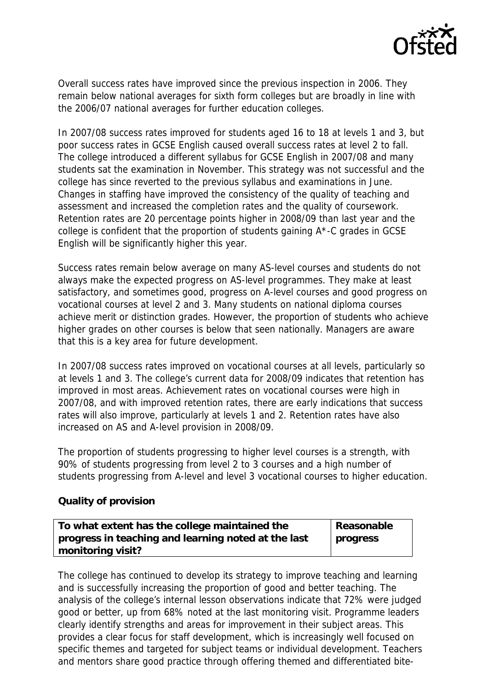

Overall success rates have improved since the previous inspection in 2006. They remain below national averages for sixth form colleges but are broadly in line with the 2006/07 national averages for further education colleges.

In 2007/08 success rates improved for students aged 16 to 18 at levels 1 and 3, but poor success rates in GCSE English caused overall success rates at level 2 to fall. The college introduced a different syllabus for GCSE English in 2007/08 and many students sat the examination in November. This strategy was not successful and the college has since reverted to the previous syllabus and examinations in June. Changes in staffing have improved the consistency of the quality of teaching and assessment and increased the completion rates and the quality of coursework. Retention rates are 20 percentage points higher in 2008/09 than last year and the college is confident that the proportion of students gaining A\*-C grades in GCSE English will be significantly higher this year.

Success rates remain below average on many AS-level courses and students do not always make the expected progress on AS-level programmes. They make at least satisfactory, and sometimes good, progress on A-level courses and good progress on vocational courses at level 2 and 3. Many students on national diploma courses achieve merit or distinction grades. However, the proportion of students who achieve higher grades on other courses is below that seen nationally. Managers are aware that this is a key area for future development.

In 2007/08 success rates improved on vocational courses at all levels, particularly so at levels 1 and 3. The college's current data for 2008/09 indicates that retention has improved in most areas. Achievement rates on vocational courses were high in 2007/08, and with improved retention rates, there are early indications that success rates will also improve, particularly at levels 1 and 2. Retention rates have also increased on AS and A-level provision in 2008/09.

The proportion of students progressing to higher level courses is a strength, with 90% of students progressing from level 2 to 3 courses and a high number of students progressing from A-level and level 3 vocational courses to higher education.

## **Quality of provision**

| To what extent has the college maintained the       | Reasonable |
|-----------------------------------------------------|------------|
| progress in teaching and learning noted at the last | progress   |
| monitoring visit?                                   |            |

The college has continued to develop its strategy to improve teaching and learning and is successfully increasing the proportion of good and better teaching. The analysis of the college's internal lesson observations indicate that 72% were judged good or better, up from 68% noted at the last monitoring visit. Programme leaders clearly identify strengths and areas for improvement in their subject areas. This provides a clear focus for staff development, which is increasingly well focused on specific themes and targeted for subject teams or individual development. Teachers and mentors share good practice through offering themed and differentiated bite-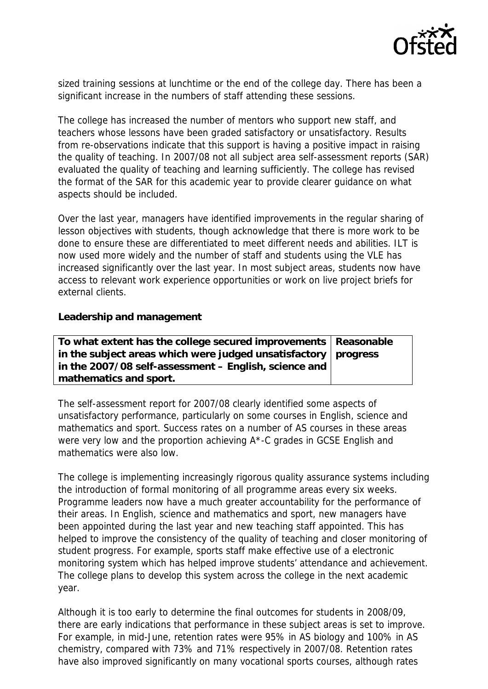

sized training sessions at lunchtime or the end of the college day. There has been a significant increase in the numbers of staff attending these sessions.

The college has increased the number of mentors who support new staff, and teachers whose lessons have been graded satisfactory or unsatisfactory. Results from re-observations indicate that this support is having a positive impact in raising the quality of teaching. In 2007/08 not all subject area self-assessment reports (SAR) evaluated the quality of teaching and learning sufficiently. The college has revised the format of the SAR for this academic year to provide clearer guidance on what aspects should be included.

Over the last year, managers have identified improvements in the regular sharing of lesson objectives with students, though acknowledge that there is more work to be done to ensure these are differentiated to meet different needs and abilities. ILT is now used more widely and the number of staff and students using the VLE has increased significantly over the last year. In most subject areas, students now have access to relevant work experience opportunities or work on live project briefs for external clients.

**Leadership and management**

| To what extent has the college secured improvements   Reasonable |  |
|------------------------------------------------------------------|--|
| in the subject areas which were judged unsatisfactory   progress |  |
| in the 2007/08 self-assessment – English, science and            |  |
| mathematics and sport.                                           |  |

The self-assessment report for 2007/08 clearly identified some aspects of unsatisfactory performance, particularly on some courses in English, science and mathematics and sport. Success rates on a number of AS courses in these areas were very low and the proportion achieving A\*-C grades in GCSE English and mathematics were also low.

The college is implementing increasingly rigorous quality assurance systems including the introduction of formal monitoring of all programme areas every six weeks. Programme leaders now have a much greater accountability for the performance of their areas. In English, science and mathematics and sport, new managers have been appointed during the last year and new teaching staff appointed. This has helped to improve the consistency of the quality of teaching and closer monitoring of student progress. For example, sports staff make effective use of a electronic monitoring system which has helped improve students' attendance and achievement. The college plans to develop this system across the college in the next academic year.

Although it is too early to determine the final outcomes for students in 2008/09, there are early indications that performance in these subject areas is set to improve. For example, in mid-June, retention rates were 95% in AS biology and 100% in AS chemistry, compared with 73% and 71% respectively in 2007/08. Retention rates have also improved significantly on many vocational sports courses, although rates